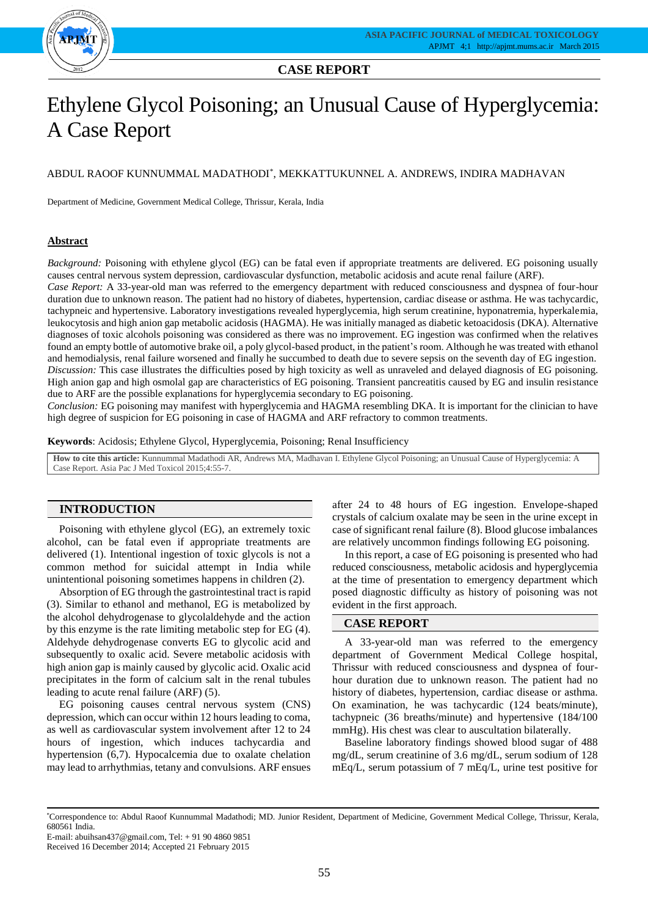

**CASE REPORT**

# Ethylene Glycol Poisoning; an Unusual Cause of Hyperglycemia: A Case Report

# ABDUL RAOOF KUNNUMMAL MADATHODI\* , MEKKATTUKUNNEL A. ANDREWS, INDIRA MADHAVAN

Department of Medicine, Government Medical College, Thrissur, Kerala, India

#### **Abstract**

*Background:* Poisoning with ethylene glycol (EG) can be fatal even if appropriate treatments are delivered. EG poisoning usually causes central nervous system depression, cardiovascular dysfunction, metabolic acidosis and acute renal failure (ARF).

*Case Report:* A 33-year-old man was referred to the emergency department with reduced consciousness and dyspnea of four-hour duration due to unknown reason. The patient had no history of diabetes, hypertension, cardiac disease or asthma. He was tachycardic, tachypneic and hypertensive. Laboratory investigations revealed hyperglycemia, high serum creatinine, hyponatremia, hyperkalemia, leukocytosis and high anion gap metabolic acidosis (HAGMA). He was initially managed as diabetic ketoacidosis (DKA). Alternative diagnoses of toxic alcohols poisoning was considered as there was no improvement. EG ingestion was confirmed when the relatives found an empty bottle of automotive brake oil, a poly glycol-based product, in the patient's room. Although he was treated with ethanol and hemodialysis, renal failure worsened and finally he succumbed to death due to severe sepsis on the seventh day of EG ingestion. *Discussion:* This case illustrates the difficulties posed by high toxicity as well as unraveled and delayed diagnosis of EG poisoning. High anion gap and high osmolal gap are characteristics of EG poisoning. Transient pancreatitis caused by EG and insulin resistance due to ARF are the possible explanations for hyperglycemia secondary to EG poisoning.

*Conclusion:* EG poisoning may manifest with hyperglycemia and HAGMA resembling DKA. It is important for the clinician to have high degree of suspicion for EG poisoning in case of HAGMA and ARF refractory to common treatments.

**Keywords**: Acidosis; Ethylene Glycol, Hyperglycemia, Poisoning; Renal Insufficiency

**How to cite this article:** Kunnummal Madathodi AR, Andrews MA, Madhavan I. Ethylene Glycol Poisoning; an Unusual Cause of Hyperglycemia: A Case Report. Asia Pac J Med Toxicol 2015;4:55-7.

# **INTRODUCTION**

Poisoning with ethylene glycol (EG), an extremely toxic alcohol, can be fatal even if appropriate treatments are delivered (1). Intentional ingestion of toxic glycols is not a common method for suicidal attempt in India while unintentional poisoning sometimes happens in children (2).

Absorption of EG through the gastrointestinal tract is rapid (3). Similar to ethanol and methanol, EG is metabolized by the alcohol dehydrogenase to glycolaldehyde and the action by this enzyme is the rate limiting metabolic step for EG (4). Aldehyde dehydrogenase converts EG to glycolic acid and subsequently to oxalic acid. Severe metabolic acidosis with high anion gap is mainly caused by glycolic acid. Oxalic acid precipitates in the form of calcium salt in the renal tubules leading to acute renal failure (ARF) (5).

EG poisoning causes central nervous system (CNS) depression, which can occur within 12 hours leading to coma, as well as cardiovascular system involvement after 12 to 24 hours of ingestion, which induces tachycardia and hypertension (6,7). Hypocalcemia due to oxalate chelation may lead to arrhythmias, tetany and convulsions. ARF ensues after 24 to 48 hours of EG ingestion. Envelope-shaped crystals of calcium oxalate may be seen in the urine except in case of significant renal failure (8). Blood glucose imbalances are relatively uncommon findings following EG poisoning.

In this report, a case of EG poisoning is presented who had reduced consciousness, metabolic acidosis and hyperglycemia at the time of presentation to emergency department which posed diagnostic difficulty as history of poisoning was not evident in the first approach.

## **CASE REPORT**

A 33-year-old man was referred to the emergency department of Government Medical College hospital, Thrissur with reduced consciousness and dyspnea of fourhour duration due to unknown reason. The patient had no history of diabetes, hypertension, cardiac disease or asthma. On examination, he was tachycardic (124 beats/minute), tachypneic (36 breaths/minute) and hypertensive (184/100 mmHg). His chest was clear to auscultation bilaterally.

Baseline laboratory findings showed blood sugar of 488 mg/dL, serum creatinine of 3.6 mg/dL, serum sodium of 128 mEq/L, serum potassium of 7 mEq/L, urine test positive for

<sup>\*</sup>Correspondence to: Abdul Raoof Kunnummal Madathodi; MD. Junior Resident, Department of Medicine, Government Medical College, Thrissur, Kerala, 680561 India.

E-mail: abuihsan437@gmail.com, Tel: + 91 90 4860 9851

Received 16 December 2014; Accepted 21 February 2015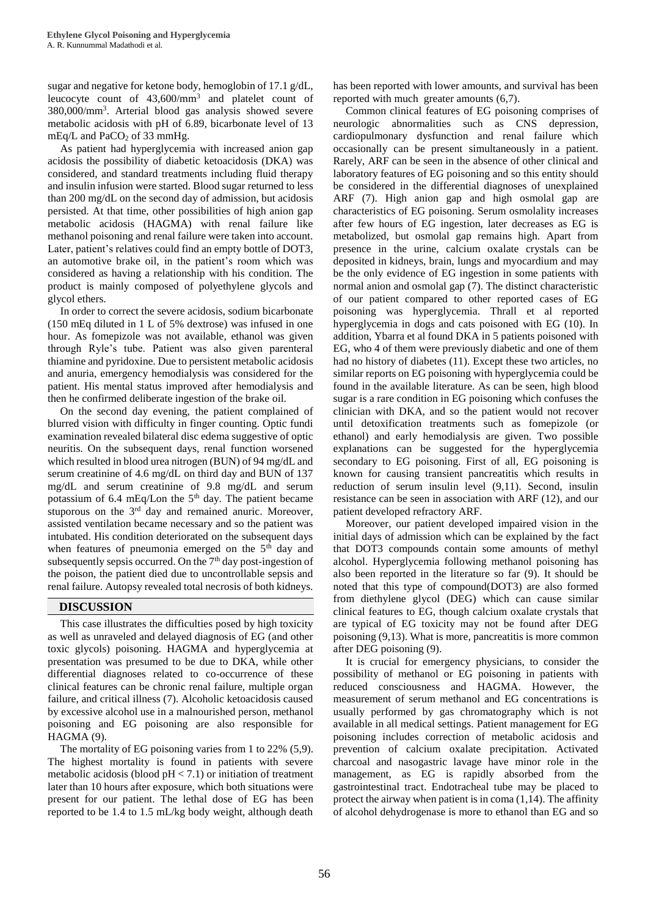sugar and negative for ketone body, hemoglobin of 17.1 g/dL, leucocyte count of 43,600/mm<sup>3</sup> and platelet count of 380,000/mm<sup>3</sup> . Arterial blood gas analysis showed severe metabolic acidosis with pH of 6.89, bicarbonate level of 13 mEq/L and PaCO<sub>2</sub> of 33 mmHg.

As patient had hyperglycemia with increased anion gap acidosis the possibility of diabetic ketoacidosis (DKA) was considered, and standard treatments including fluid therapy and insulin infusion were started. Blood sugar returned to less than 200 mg/dL on the second day of admission, but acidosis persisted. At that time, other possibilities of high anion gap metabolic acidosis (HAGMA) with renal failure like methanol poisoning and renal failure were taken into account. Later, patient's relatives could find an empty bottle of DOT3, an automotive brake oil, in the patient's room which was considered as having a relationship with his condition. The product is mainly composed of polyethylene glycols and glycol ethers.

In order to correct the severe acidosis, sodium bicarbonate (150 mEq diluted in 1 L of 5% dextrose) was infused in one hour. As fomepizole was not available, ethanol was given through Ryle's tube. Patient was also given parenteral thiamine and pyridoxine. Due to persistent metabolic acidosis and anuria, emergency hemodialysis was considered for the patient. His mental status improved after hemodialysis and then he confirmed deliberate ingestion of the brake oil.

On the second day evening, the patient complained of blurred vision with difficulty in finger counting. Optic fundi examination revealed bilateral disc edema suggestive of optic neuritis. On the subsequent days, renal function worsened which resulted in blood urea nitrogen (BUN) of 94 mg/dL and serum creatinine of 4.6 mg/dL on third day and BUN of 137 mg/dL and serum creatinine of 9.8 mg/dL and serum potassium of 6.4 mEq/Lon the 5<sup>th</sup> day. The patient became stuporous on the  $3<sup>rd</sup>$  day and remained anuric. Moreover, assisted ventilation became necessary and so the patient was intubated. His condition deteriorated on the subsequent days when features of pneumonia emerged on the  $5<sup>th</sup>$  day and subsequently sepsis occurred. On the 7<sup>th</sup> day post-ingestion of the poison, the patient died due to uncontrollable sepsis and renal failure. Autopsy revealed total necrosis of both kidneys.

# **DISCUSSION**

This case illustrates the difficulties posed by high toxicity as well as unraveled and delayed diagnosis of EG (and other toxic glycols) poisoning. HAGMA and hyperglycemia at presentation was presumed to be due to DKA, while other differential diagnoses related to co-occurrence of these clinical features can be chronic renal failure, multiple organ failure, and critical illness (7). Alcoholic ketoacidosis caused by excessive alcohol use in a malnourished person, methanol poisoning and EG poisoning are also responsible for HAGMA (9).

The mortality of EG poisoning varies from 1 to 22% (5,9). The highest mortality is found in patients with severe metabolic acidosis (blood  $pH < 7.1$ ) or initiation of treatment later than 10 hours after exposure, which both situations were present for our patient. The lethal dose of EG has been reported to be 1.4 to 1.5 mL/kg body weight, although death

has been reported with lower amounts, and survival has been reported with much greater amounts (6,7).

Common clinical features of EG poisoning comprises of neurologic abnormalities such as CNS depression, cardiopulmonary dysfunction and renal failure which occasionally can be present simultaneously in a patient. Rarely, ARF can be seen in the absence of other clinical and laboratory features of EG poisoning and so this entity should be considered in the differential diagnoses of unexplained ARF (7). High anion gap and high osmolal gap are characteristics of EG poisoning. Serum osmolality increases after few hours of EG ingestion, later decreases as EG is metabolized, but osmolal gap remains high. Apart from presence in the urine, calcium oxalate crystals can be deposited in kidneys, brain, lungs and myocardium and may be the only evidence of EG ingestion in some patients with normal anion and osmolal gap (7). The distinct characteristic of our patient compared to other reported cases of EG poisoning was hyperglycemia. Thrall et al reported hyperglycemia in dogs and cats poisoned with EG (10). In addition, Ybarra et al found DKA in 5 patients poisoned with EG, who 4 of them were previously diabetic and one of them had no history of diabetes (11). Except these two articles, no similar reports on EG poisoning with hyperglycemia could be found in the available literature. As can be seen, high blood sugar is a rare condition in EG poisoning which confuses the clinician with DKA, and so the patient would not recover until detoxification treatments such as fomepizole (or ethanol) and early hemodialysis are given. Two possible explanations can be suggested for the hyperglycemia secondary to EG poisoning. First of all, EG poisoning is known for causing transient pancreatitis which results in reduction of serum insulin level (9,11). Second, insulin resistance can be seen in association with ARF (12), and our patient developed refractory ARF.

Moreover, our patient developed impaired vision in the initial days of admission which can be explained by the fact that DOT3 compounds contain some amounts of methyl alcohol. Hyperglycemia following methanol poisoning has also been reported in the literature so far (9). It should be noted that this type of compound(DOT3) are also formed from diethylene glycol (DEG) which can cause similar clinical features to EG, though calcium oxalate crystals that are typical of EG toxicity may not be found after DEG poisoning (9,13). What is more, pancreatitis is more common after DEG poisoning (9).

It is crucial for emergency physicians, to consider the possibility of methanol or EG poisoning in patients with reduced consciousness and HAGMA. However, the measurement of serum methanol and EG concentrations is usually performed by gas chromatography which is not available in all medical settings. Patient management for EG poisoning includes correction of metabolic acidosis and prevention of calcium oxalate precipitation. Activated charcoal and nasogastric lavage have minor role in the management, as EG is rapidly absorbed from the gastrointestinal tract. Endotracheal tube may be placed to protect the airway when patient is in coma (1,14). The affinity of alcohol dehydrogenase is more to ethanol than EG and so